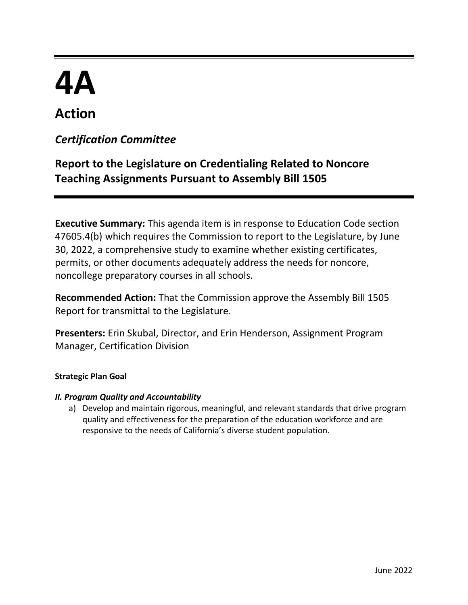# **4A**

# **Action**

# *Certification Committee*

# **Report to the Legislature on Credentialing Related to Noncore Teaching Assignments Pursuant to Assembly Bill 1505**

**Executive Summary:** This agenda item is in response to Education Code section 47605.4(b) which requires the Commission to report to the Legislature, by June 30, 2022, a comprehensive study to examine whether existing certificates, permits, or other documents adequately address the needs for noncore, noncollege preparatory courses in all schools.

**Recommended Action:** That the Commission approve the Assembly Bill 1505 Report for transmittal to the Legislature.

**Presenters:** Erin Skubal, Director, and Erin Henderson, Assignment Program Manager, Certification Division

#### **Strategic Plan Goal**

#### *II. Program Quality and Accountability*

a) Develop and maintain rigorous, meaningful, and relevant standards that drive program quality and effectiveness for the preparation of the education workforce and are responsive to the needs of California's diverse student population.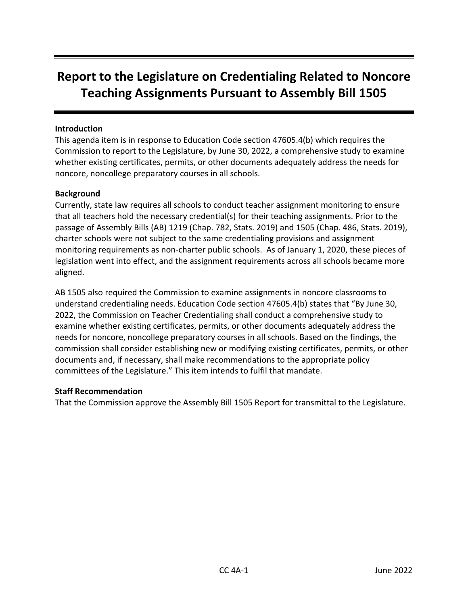# **Report to the Legislature on Credentialing Related to Noncore Teaching Assignments Pursuant to Assembly Bill 1505**

#### **Introduction**

This agenda item is in response to Education Code section 47605.4(b) which requires the Commission to report to the Legislature, by June 30, 2022, a comprehensive study to examine whether existing certificates, permits, or other documents adequately address the needs for noncore, noncollege preparatory courses in all schools.

#### **Background**

Currently, state law requires all schools to conduct teacher assignment monitoring to ensure that all teachers hold the necessary credential(s) for their teaching assignments. Prior to the passage of Assembly Bills (AB) 1219 (Chap. 782, Stats. 2019) and 1505 (Chap. 486, Stats. 2019), charter schools were not subject to the same credentialing provisions and assignment monitoring requirements as non-charter public schools.  As of January 1, 2020, these pieces of legislation went into effect, and the assignment requirements across all schools became more aligned.

AB 1505 also required the Commission to examine assignments in noncore classrooms to understand credentialing needs. Education Code section 47605.4(b) states that "By June 30, 2022, the Commission on Teacher Credentialing shall conduct a comprehensive study to examine whether existing certificates, permits, or other documents adequately address the needs for noncore, noncollege preparatory courses in all schools. Based on the findings, the commission shall consider establishing new or modifying existing certificates, permits, or other documents and, if necessary, shall make recommendations to the appropriate policy committees of the Legislature." This item intends to fulfil that mandate.

#### **Staff Recommendation**

That the Commission approve the Assembly Bill 1505 Report for transmittal to the Legislature.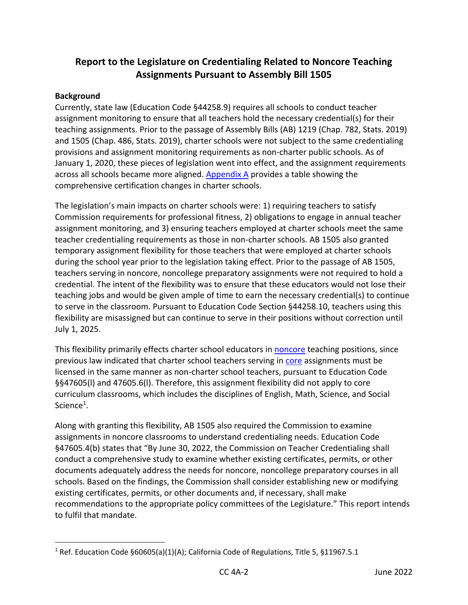## **Report to the Legislature on Credentialing Related to Noncore Teaching Assignments Pursuant to Assembly Bill 1505**

#### **Background**

Currently, state law (Education Code §44258.9) requires all schools to conduct teacher assignment monitoring to ensure that all teachers hold the necessary credential(s) for their teaching assignments. Prior to the passage of Assembly Bills (AB) 1219 (Chap. 782, Stats. 2019) and 1505 (Chap. 486, Stats. 2019), charter schools were not subject to the same credentialing provisions and assignment monitoring requirements as non-charter public schools. As of January 1, 2020, these pieces of legislation went into effect, and the assignment requirements across all schools became more aligned. [Appendix A](#page-15-0) provides a table showing the comprehensive certification changes in charter schools.

The legislation's main impacts on charter schools were: 1) requiring teachers to satisfy Commission requirements for professional fitness, 2) obligations to engage in annual teacher assignment monitoring, and 3) ensuring teachers employed at charter schools meet the same teacher credentialing requirements as those in non-charter schools. AB 1505 also granted temporary assignment flexibility for those teachers that were employed at charter schools during the school year prior to the legislation taking effect. Prior to the passage of AB 1505, teachers serving in noncore, noncollege preparatory assignments were not required to hold a credential. The intent of the flexibility was to ensure that these educators would not lose their teaching jobs and would be given ample of time to earn the necessary credential(s) to continue to serve in the classroom. Pursuant to Education Code Section §44258.10, teachers using this flexibility are misassigned but can continue to serve in their positions without correction until July 1, 2025.

This flexibility primarily effects charter school educators in [noncore](#page-13-0) teaching positions, since previous law indicated that charter school teachers serving in [core](#page-13-1) assignments must be licensed in the same manner as non-charter school teachers, pursuant to Education Code §§47605(l) and 47605.6(l). Therefore, this assignment flexibility did not apply to core curriculum classrooms, which includes the disciplines of English, Math, Science, and Social Science<sup>1</sup>.

Along with granting this flexibility, AB 1505 also required the Commission to examine assignments in noncore classrooms to understand credentialing needs. Education Code §47605.4(b) states that "By June 30, 2022, the Commission on Teacher Credentialing shall conduct a comprehensive study to examine whether existing certificates, permits, or other documents adequately address the needs for noncore, noncollege preparatory courses in all schools. Based on the findings, the Commission shall consider establishing new or modifying existing certificates, permits, or other documents and, if necessary, shall make recommendations to the appropriate policy committees of the Legislature." This report intends to fulfil that mandate.

<sup>&</sup>lt;sup>1</sup> Ref. Education Code §60605(a)(1)(A); California Code of Regulations, Title 5, §11967.5.1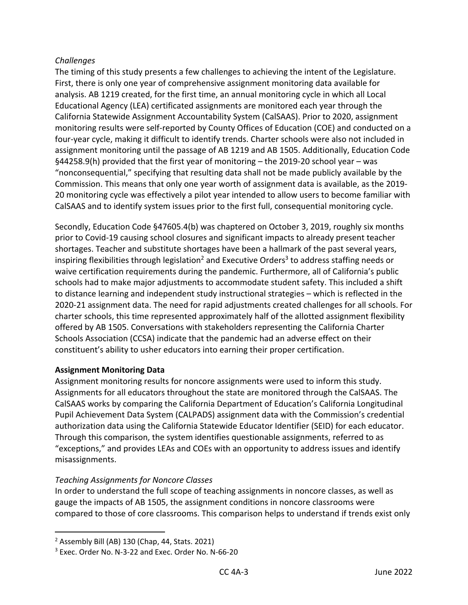#### *Challenges*

The timing of this study presents a few challenges to achieving the intent of the Legislature. First, there is only one year of comprehensive assignment monitoring data available for analysis. AB 1219 created, for the first time, an annual monitoring cycle in which all Local Educational Agency (LEA) certificated assignments are monitored each year through the California Statewide Assignment Accountability System (CalSAAS). Prior to 2020, assignment monitoring results were self-reported by County Offices of Education (COE) and conducted on a four-year cycle, making it difficult to identify trends. Charter schools were also not included in assignment monitoring until the passage of AB 1219 and AB 1505. Additionally, Education Code §44258.9(h) provided that the first year of monitoring – the 2019-20 school year – was "nonconsequential," specifying that resulting data shall not be made publicly available by the Commission. This means that only one year worth of assignment data is available, as the 2019- 20 monitoring cycle was effectively a pilot year intended to allow users to become familiar with CalSAAS and to identify system issues prior to the first full, consequential monitoring cycle.

Secondly, Education Code [§47605.4\(b\)](https://gcc02.safelinks.protection.outlook.com/?url=https%3A%2F%2Fleginfo.legislature.ca.gov%2Ffaces%2Fcodes_displaySection.xhtml%3FsectionNum%3D47605.4.%26lawCode%3DEDC&data=04%7C01%7CEHenderson%40ctc.ca.gov%7Caf075c9efcd448ca0f7708d9df7ea09a%7C78276a93cafd497081b54e5074e42910%7C0%7C0%7C637786557222454263%7CUnknown%7CTWFpbGZsb3d8eyJWIjoiMC4wLjAwMDAiLCJQIjoiV2luMzIiLCJBTiI6Ik1haWwiLCJXVCI6Mn0%3D%7C3000&sdata=bQELNO6nc%2B4%2FG5%2BjVagx8KhJVAPYO4XFqHOobsS1I20%3D&reserved=0) was chaptered on October 3, 2019, roughly six months prior to Covid-19 causing school closures and significant impacts to already present teacher shortages. Teacher and substitute shortages have been a hallmark of the past several years, inspiring flexibilities through legislation<sup>2</sup> and Executive Orders<sup>3</sup> to address staffing needs or waive certification requirements during the pandemic. Furthermore, all of California's public schools had to make major adjustments to accommodate student safety. This included a shift to distance learning and independent study instructional strategies – which is reflected in the 2020-21 assignment data. The need for rapid adjustments created challenges for all schools. For charter schools, this time represented approximately half of the allotted assignment flexibility offered by AB 1505. Conversations with stakeholders representing the California Charter Schools Association (CCSA) indicate that the pandemic had an adverse effect on their constituent's ability to usher educators into earning their proper certification.

#### **Assignment Monitoring Data**

Assignment monitoring results for noncore assignments were used to inform this study. Assignments for all educators throughout the state are monitored through the CalSAAS. The CalSAAS works by comparing the California Department of Education's California Longitudinal Pupil Achievement Data System (CALPADS) assignment data with the Commission's credential authorization data using the California Statewide Educator Identifier (SEID) for each educator. Through this comparison, the system identifies questionable assignments, referred to as "exceptions," and provides LEAs and COEs with an opportunity to address issues and identify misassignments.

#### *Teaching Assignments for Noncore Classes*

In order to understand the full scope of teaching assignments in noncore classes, as well as gauge the impacts of AB 1505, the assignment conditions in noncore classrooms were compared to those of core classrooms. This comparison helps to understand if trends exist only

<sup>2</sup> Assembly Bill (AB) 130 (Chap, 44, Stats. 2021)

<sup>&</sup>lt;sup>3</sup> Exec. Order No. N-3-22 and Exec. Order No. N-66-20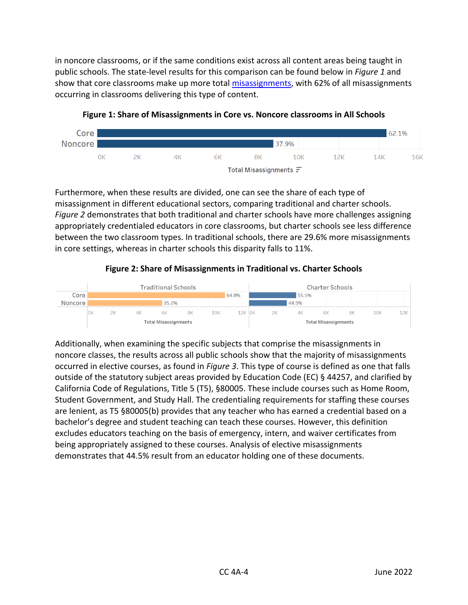in noncore classrooms, or if the same conditions exist across all content areas being taught in public schools. The state-level results for this comparison can be found below in *Figure 1* and show that core classrooms make up more total [misassignments,](#page-13-2) with 62% of all misassignments occurring in classrooms delivering this type of content.



**Figure 1: Share of Misassignments in Core vs. Noncore classrooms in All Schools**

Furthermore, when these results are divided, one can see the share of each type of misassignment in different educational sectors, comparing traditional and charter schools. *Figure 2* demonstrates that both traditional and charter schools have more challenges assigning appropriately credentialed educators in core classrooms, but charter schools see less difference between the two classroom types. In traditional schools, there are 29.6% more misassignments in core settings, whereas in charter schools this disparity falls to 11%.

#### **Figure 2: Share of Misassignments in Traditional vs. Charter Schools**



Additionally, when examining the specific subjects that comprise the misassignments in noncore classes, the results across all public schools show that the majority of misassignments occurred in elective courses, as found in *Figure 3*. This type of course is defined as one that falls outside of the statutory subject areas provided by Education Code (EC) § 44257, and clarified by California Code of Regulations, Title 5 (T5), §80005. These include courses such as Home Room, Student Government, and Study Hall. The credentialing requirements for staffing these courses are lenient, as T5 §80005(b) provides that any teacher who has earned a credential based on a bachelor's degree and student teaching can teach these courses. However, this definition excludes educators teaching on the basis of emergency, intern, and waiver certificates from being appropriately assigned to these courses. Analysis of elective misassignments demonstrates that 44.5% result from an educator holding one of these documents.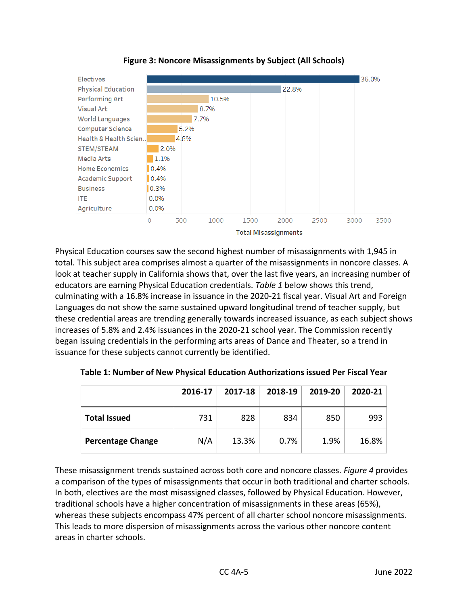



Physical Education courses saw the second highest number of misassignments with 1,945 in total. This subject area comprises almost a quarter of the misassignments in noncore classes. A look at teacher supply in California shows that, over the last five years, an increasing number of educators are earning Physical Education credentials. *Table 1* below shows this trend, culminating with a 16.8% increase in issuance in the 2020-21 fiscal year. Visual Art and Foreign Languages do not show the same sustained upward longitudinal trend of teacher supply, but these credential areas are trending generally towards increased issuance, as each subject shows increases of 5.8% and 2.4% issuances in the 2020-21 school year. The Commission recently began issuing credentials in the performing arts areas of Dance and Theater, so a trend in issuance for these subjects cannot currently be identified.

|                          | 2016-17 | 2017-18 | 2018-19 | 2019-20 | $2020 - 21$ |
|--------------------------|---------|---------|---------|---------|-------------|
| <b>Total Issued</b>      | 731     | 828     | 834     | 850     | 993         |
| <b>Percentage Change</b> | N/A     | 13.3%   | 0.7%    | 1.9%    | 16.8%       |

**Table 1: Number of New Physical Education Authorizations issued Per Fiscal Year**

These misassignment trends sustained across both core and noncore classes. *Figure 4* provides a comparison of the types of misassignments that occur in both traditional and charter schools. In both, electives are the most misassigned classes, followed by Physical Education. However, traditional schools have a higher concentration of misassignments in these areas (65%), whereas these subjects encompass 47% percent of all charter school noncore misassignments. This leads to more dispersion of misassignments across the various other noncore content areas in charter schools.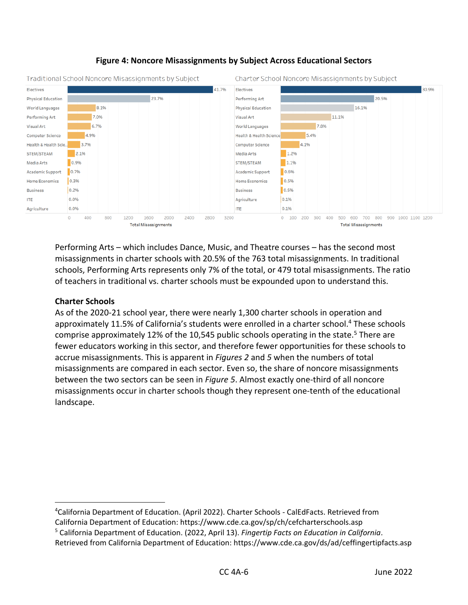

#### **Figure 4: Noncore Misassignments by Subject Across Educational Sectors**

Performing Arts – which includes Dance, Music, and Theatre courses – has the second most misassignments in charter schools with 20.5% of the 763 total misassignments. In traditional schools, Performing Arts represents only 7% of the total, or 479 total misassignments. The ratio of teachers in traditional vs. charter schools must be expounded upon to understand this.

#### **Charter Schools**

As of the 2020-21 school year, there were nearly 1,300 charter schools in operation and approximately 11.5% of California's students were enrolled in a charter school.<sup>4</sup> These schools comprise approximately 12% of the 10,545 public schools operating in the state.<sup>5</sup> There are fewer educators working in this sector, and therefore fewer opportunities for these schools to accrue misassignments. This is apparent in *Figures 2* and *5* when the numbers of total misassignments are compared in each sector. Even so, the share of noncore misassignments between the two sectors can be seen in *Figure 5*. Almost exactly one-third of all noncore misassignments occur in charter schools though they represent one-tenth of the educational landscape.

<sup>4</sup>California Department of Education. (April 2022). Charter Schools - CalEdFacts. Retrieved from California Department of Education: https://www.cde.ca.gov/sp/ch/cefcharterschools.asp

<sup>5</sup> California Department of Education. (2022, April 13). *Fingertip Facts on Education in California*. Retrieved from California Department of Education: https://www.cde.ca.gov/ds/ad/ceffingertipfacts.asp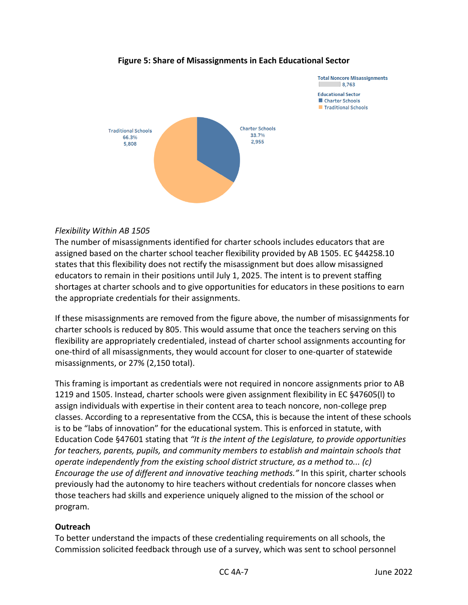

#### **Figure 5: Share of Misassignments in Each Educational Sector**

#### *Flexibility Within AB 1505*

The number of misassignments identified for charter schools includes educators that are assigned based on the charter school teacher flexibility provided by AB 1505. EC §44258.10 states that this flexibility does not rectify the misassignment but does allow misassigned educators to remain in their positions until July 1, 2025. The intent is to prevent staffing shortages at charter schools and to give opportunities for educators in these positions to earn the appropriate credentials for their assignments.

If these misassignments are removed from the figure above, the number of misassignments for charter schools is reduced by 805. This would assume that once the teachers serving on this flexibility are appropriately credentialed, instead of charter school assignments accounting for one-third of all misassignments, they would account for closer to one-quarter of statewide misassignments, or 27% (2,150 total).

This framing is important as credentials were not required in noncore assignments prior to AB 1219 and 1505. Instead, charter schools were given assignment flexibility in EC §47605(l) to assign individuals with expertise in their content area to teach noncore, non-college prep classes. According to a representative from the CCSA, this is because the intent of these schools is to be "labs of innovation" for the educational system. This is enforced in statute, with [Education Code](https://gcc02.safelinks.protection.outlook.com/?url=https%3A%2F%2Fleginfo.legislature.ca.gov%2Ffaces%2Fcodes_displayText.xhtml%3FlawCode%3DEDC%26division%3D4.%26title%3D2.%26part%3D26.8.%26chapter%3D1.%26article%3D&data=04%7C01%7CEHenderson%40ctc.ca.gov%7C00830bfe0b484207cdc708da1e3065f9%7C78276a93cafd497081b54e5074e42910%7C0%7C0%7C637855490492262300%7CUnknown%7CTWFpbGZsb3d8eyJWIjoiMC4wLjAwMDAiLCJQIjoiV2luMzIiLCJBTiI6Ik1haWwiLCJXVCI6Mn0%3D%7C3000&sdata=HZReOY2v7dvQPVKcTGvj7rA%2FjCD53LsBP7sQoSaKSbw%3D&reserved=0) §47601 stating that *"It is the intent of the Legislature, to provide opportunities for teachers, parents, pupils, and community members to establish and maintain schools that operate independently from the existing school district structure, as a method to... (c) Encourage the use of different and innovative teaching methods."* In this spirit, charter schools previously had the autonomy to hire teachers without credentials for noncore classes when those teachers had skills and experience uniquely aligned to the mission of the school or program.

#### **Outreach**

To better understand the impacts of these credentialing requirements on all schools, the Commission solicited feedback through use of a survey, which was sent to school personnel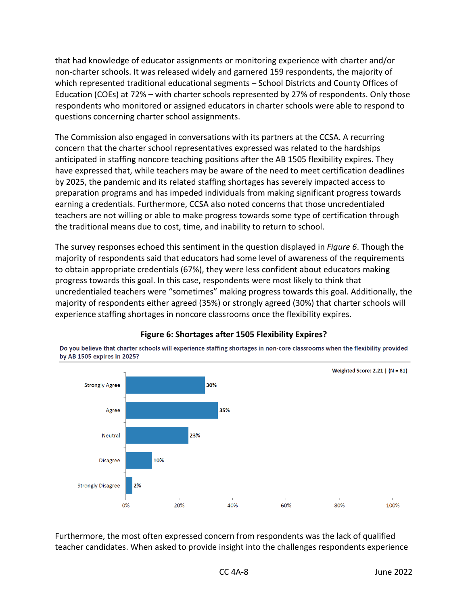that had knowledge of educator assignments or monitoring experience with charter and/or non-charter schools. It was released widely and garnered 159 respondents, the majority of which represented traditional educational segments – School Districts and County Offices of Education (COEs) at 72% – with charter schools represented by 27% of respondents. Only those respondents who monitored or assigned educators in charter schools were able to respond to questions concerning charter school assignments.

The Commission also engaged in conversations with its partners at the CCSA. A recurring concern that the charter school representatives expressed was related to the hardships anticipated in staffing noncore teaching positions after the AB 1505 flexibility expires. They have expressed that, while teachers may be aware of the need to meet certification deadlines by 2025, the pandemic and its related staffing shortages has severely impacted access to preparation programs and has impeded individuals from making significant progress towards earning a credentials. Furthermore, CCSA also noted concerns that those uncredentialed teachers are not willing or able to make progress towards some type of certification through the traditional means due to cost, time, and inability to return to school.

The survey responses echoed this sentiment in the question displayed in *Figure 6*. Though the majority of respondents said that educators had some level of awareness of the requirements to obtain appropriate credentials (67%), they were less confident about educators making progress towards this goal. In this case, respondents were most likely to think that uncredentialed teachers were "sometimes" making progress towards this goal. Additionally, the majority of respondents either agreed (35%) or strongly agreed (30%) that charter schools will experience staffing shortages in noncore classrooms once the flexibility expires.



#### **Figure 6: Shortages after 1505 Flexibility Expires?**

Do you believe that charter schools will experience staffing shortages in non-core classrooms when the flexibility provided by AB 1505 expires in 2025?

Furthermore, the most often expressed concern from respondents was the lack of qualified teacher candidates. When asked to provide insight into the challenges respondents experience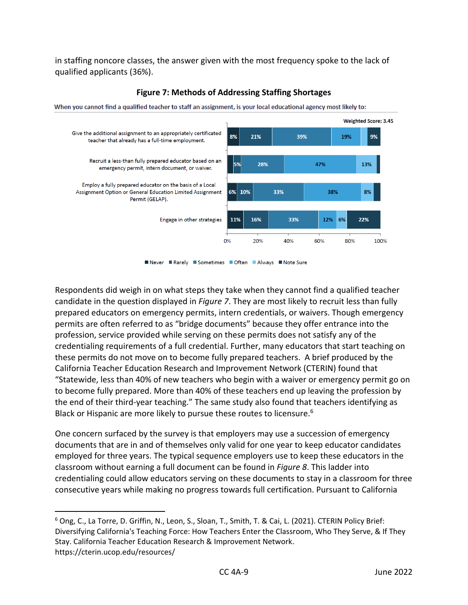in staffing noncore classes, the answer given with the most frequency spoke to the lack of qualified applicants (36%).



#### **Figure 7: Methods of Addressing Staffing Shortages**

Never Rarely Sometimes Often Always Note Sure

Respondents did weigh in on what steps they take when they cannot find a qualified teacher candidate in the question displayed in *Figure 7*. They are most likely to recruit less than fully prepared educators on emergency permits, intern credentials, or waivers. Though emergency permits are often referred to as "bridge documents" because they offer entrance into the profession, service provided while serving on these permits does not satisfy any of the credentialing requirements of a full credential. Further, many educators that start teaching on these permits do not move on to become fully prepared teachers. A brief produced by the California Teacher Education Research and Improvement Network (CTERIN) found that "Statewide, less than 40% of new teachers who begin with a waiver or emergency permit go on to become fully prepared. More than 40% of these teachers end up leaving the profession by the end of their third-year teaching." The same study also found that teachers identifying as Black or Hispanic are more likely to pursue these routes to licensure.<sup>6</sup>

One concern surfaced by the survey is that employers may use a succession of emergency documents that are in and of themselves only valid for one year to keep educator candidates employed for three years. The typical sequence employers use to keep these educators in the classroom without earning a full document can be found in *Figure 8*. This ladder into credentialing could allow educators serving on these documents to stay in a classroom for three consecutive years while making no progress towards full certification. Pursuant to California

<sup>6</sup> Ong, C., La Torre, D. Griffin, N., Leon, S., Sloan, T., Smith, T. & Cai, L. (2021). CTERIN Policy Brief: Diversifying California's Teaching Force: How Teachers Enter the Classroom, Who They Serve, & If They Stay. California Teacher Education Research & Improvement Network. https://cterin.ucop.edu/resources/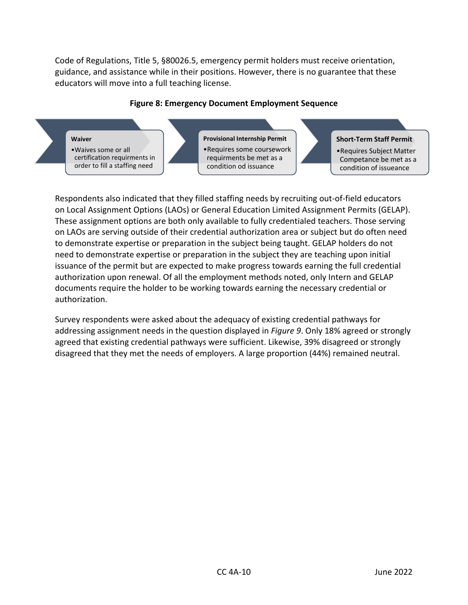Code of Regulations, Title 5, §80026.5, emergency permit holders must receive orientation, guidance, and assistance while in their positions. However, there is no guarantee that these educators will move into a full teaching license.



#### **Figure 8: Emergency Document Employment Sequence**

**Waiver** •Waives some or all certification requirments in order to fill a staffing need

**Provisional Internship Permit** •Requires some coursework requirments be met as a condition od issuance

#### **Short-Term Staff Permit**

•Requires Subject Matter Competance be met as a condition of issueance

Respondents also indicated that they filled staffing needs by recruiting out-of-field educators on Local Assignment Options (LAOs) or General Education Limited Assignment Permits (GELAP). These assignment options are both only available to fully credentialed teachers. Those serving on LAOs are serving outside of their credential authorization area or subject but do often need to demonstrate expertise or preparation in the subject being taught. GELAP holders do not need to demonstrate expertise or preparation in the subject they are teaching upon initial issuance of the permit but are expected to make progress towards earning the full credential authorization upon renewal. Of all the employment methods noted, only Intern and GELAP documents require the holder to be working towards earning the necessary credential or authorization.

Survey respondents were asked about the adequacy of existing credential pathways for addressing assignment needs in the question displayed in *Figure 9*. Only 18% agreed or strongly agreed that existing credential pathways were sufficient. Likewise, 39% disagreed or strongly disagreed that they met the needs of employers. A large proportion (44%) remained neutral.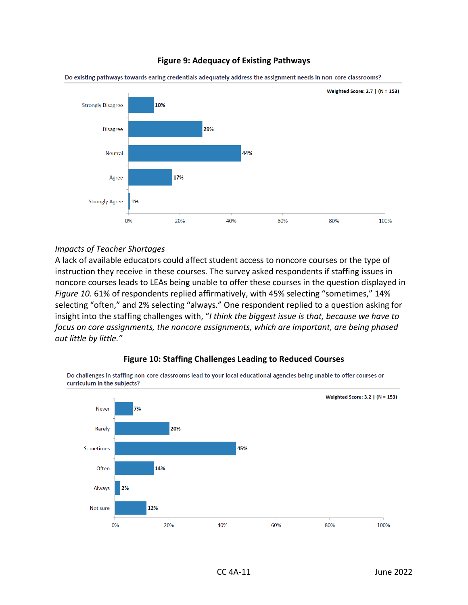#### **Figure 9: Adequacy of Existing Pathways**



Do existing pathways towards earing credentials adequately address the assignment needs in non-core classrooms?

#### *Impacts of Teacher Shortages*

A lack of available educators could affect student access to noncore courses or the type of instruction they receive in these courses. The survey asked respondents if staffing issues in noncore courses leads to LEAs being unable to offer these courses in the question displayed in *Figure 10*. 61% of respondents replied affirmatively, with 45% selecting "sometimes," 14% selecting "often," and 2% selecting "always." One respondent replied to a question asking for insight into the staffing challenges with, "*I think the biggest issue is that, because we have to focus on core assignments, the noncore assignments, which are important, are being phased out little by little."* 



Do challenges in staffing non-core classrooms lead to your local educational agencies being unable to offer courses or curriculum in the subjects?

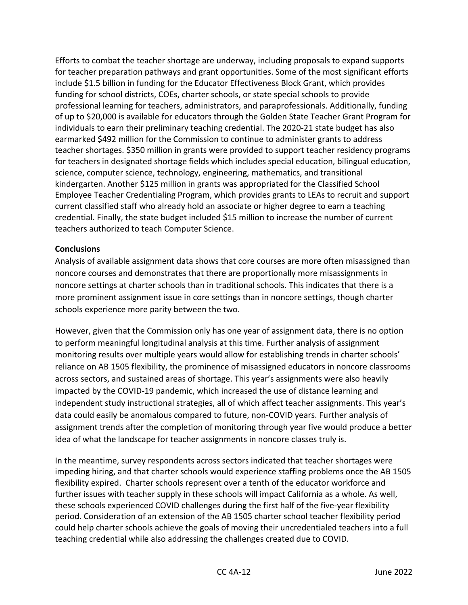Efforts to combat the teacher shortage are underway, including proposals to expand supports for teacher preparation pathways and grant opportunities. Some of the most significant efforts include \$1.5 billion in funding for the Educator Effectiveness Block Grant, which provides funding for school districts, COEs, charter schools, or state special schools to provide professional learning for teachers, administrators, and paraprofessionals. Additionally, funding of up to \$20,000 is available for educators through the Golden State Teacher Grant Program for individuals to earn their preliminary teaching credential. The 2020-21 state budget has also earmarked \$492 million for the Commission to continue to administer grants to address teacher shortages. \$350 million in grants were provided to support teacher residency programs for teachers in designated shortage fields which includes special education, bilingual education, science, computer science, technology, engineering, mathematics, and transitional kindergarten. Another \$125 million in grants was appropriated for the Classified School Employee Teacher Credentialing Program, which provides grants to LEAs to recruit and support current classified staff who already hold an associate or higher degree to earn a teaching credential. Finally, the state budget included \$15 million to increase the number of current teachers authorized to teach Computer Science.

#### **Conclusions**

Analysis of available assignment data shows that core courses are more often misassigned than noncore courses and demonstrates that there are proportionally more misassignments in noncore settings at charter schools than in traditional schools. This indicates that there is a more prominent assignment issue in core settings than in noncore settings, though charter schools experience more parity between the two.

However, given that the Commission only has one year of assignment data, there is no option to perform meaningful longitudinal analysis at this time. Further analysis of assignment monitoring results over multiple years would allow for establishing trends in charter schools' reliance on AB 1505 flexibility, the prominence of misassigned educators in noncore classrooms across sectors, and sustained areas of shortage. This year's assignments were also heavily impacted by the COVID-19 pandemic, which increased the use of distance learning and independent study instructional strategies, all of which affect teacher assignments. This year's data could easily be anomalous compared to future, non-COVID years. Further analysis of assignment trends after the completion of monitoring through year five would produce a better idea of what the landscape for teacher assignments in noncore classes truly is.

In the meantime, survey respondents across sectors indicated that teacher shortages were impeding hiring, and that charter schools would experience staffing problems once the AB 1505 flexibility expired. Charter schools represent over a tenth of the educator workforce and further issues with teacher supply in these schools will impact California as a whole. As well, these schools experienced COVID challenges during the first half of the five-year flexibility period. Consideration of an extension of the AB 1505 charter school teacher flexibility period could help charter schools achieve the goals of moving their uncredentialed teachers into a full teaching credential while also addressing the challenges created due to COVID.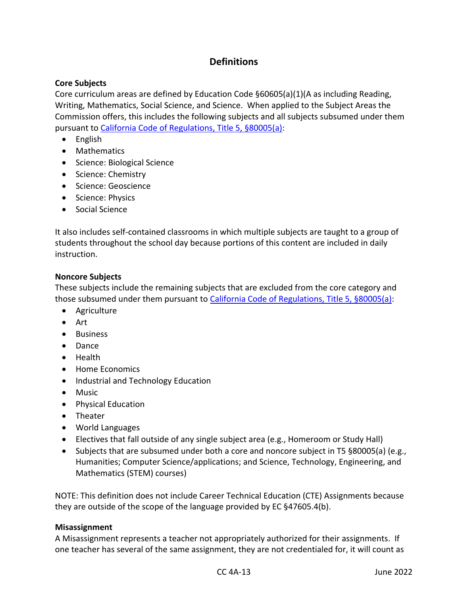## <span id="page-13-1"></span>**Definitions**

#### **Core Subjects**

Core curriculum areas are defined by Education Code §60605(a)(1)(A as including Reading, Writing, Mathematics, Social Science, and Science. When applied to the Subject Areas the Commission offers, this includes the following subjects and all subjects subsumed under them pursuant to [California Code of Regulations, Title 5, §80005\(a\):](mailto:https://govt.westlaw.com/calregs/Document/I277B04269E4045C697A0FA83B4B59F16?viewType=FullText&listSource=Search&originationContext=Search+Result&transitionType=SearchItem&contextData=(sc.Search)&navigationPath=Search%2fv1%2fresults%2fnavigation%2fi0ad62d2e0000017fc2e11e8030406705%3fppcid%3d30a83e39a6994671ab59225fd16aa4dc%26Nav%3dREGULATION_PUBLICVIEW%26fragmentIdentifier%3dI277B04269E4045C697A0FA83B4B59F16%26startIndex%3d1%26transitionType%3dSearchItem%26contextData%3d%2528sc.Default%2529%26originationContext%3dSearch%2520Result&list=REGULATION_PUBLICVIEW&rank=1&t_T1=5&t_T2=80005&t_S1=CA+ADC+s)

- English
- Mathematics
- Science: Biological Science
- Science: Chemistry
- Science: Geoscience
- Science: Physics
- Social Science

It also includes self-contained classrooms in which multiple subjects are taught to a group of students throughout the school day because portions of this content are included in daily instruction.

#### <span id="page-13-0"></span>**Noncore Subjects**

These subjects include the remaining subjects that are excluded from the core category and those subsumed under them pursuant to [California Code of Regulations, Title 5, §80005\(a\):](mailto:https://govt.westlaw.com/calregs/Document/I277B04269E4045C697A0FA83B4B59F16?viewType=FullText&listSource=Search&originationContext=Search+Result&transitionType=SearchItem&contextData=(sc.Search)&navigationPath=Search%2fv1%2fresults%2fnavigation%2fi0ad62d2e0000017fc2e11e8030406705%3fppcid%3d30a83e39a6994671ab59225fd16aa4dc%26Nav%3dREGULATION_PUBLICVIEW%26fragmentIdentifier%3dI277B04269E4045C697A0FA83B4B59F16%26startIndex%3d1%26transitionType%3dSearchItem%26contextData%3d%2528sc.Default%2529%26originationContext%3dSearch%2520Result&list=REGULATION_PUBLICVIEW&rank=1&t_T1=5&t_T2=80005&t_S1=CA+ADC+s)

- Agriculture
- Art
- Business
- Dance
- Health
- Home Economics
- Industrial and Technology Education
- Music
- Physical Education
- Theater
- World Languages
- Electives that fall outside of any single subject area (e.g., Homeroom or Study Hall)
- Subjects that are subsumed under both a core and noncore subject in T5 §80005(a) (e.g., Humanities; Computer Science/applications; and Science, Technology, Engineering, and Mathematics (STEM) courses)

NOTE: This definition does not include Career Technical Education (CTE) Assignments because they are outside of the scope of the language provided by EC [§47605.4\(b\).](https://gcc02.safelinks.protection.outlook.com/?url=https%3A%2F%2Fleginfo.legislature.ca.gov%2Ffaces%2Fcodes_displaySection.xhtml%3FsectionNum%3D47605.4.%26lawCode%3DEDC&data=04%7C01%7CEHenderson%40ctc.ca.gov%7Caf075c9efcd448ca0f7708d9df7ea09a%7C78276a93cafd497081b54e5074e42910%7C0%7C0%7C637786557222454263%7CUnknown%7CTWFpbGZsb3d8eyJWIjoiMC4wLjAwMDAiLCJQIjoiV2luMzIiLCJBTiI6Ik1haWwiLCJXVCI6Mn0%3D%7C3000&sdata=bQELNO6nc%2B4%2FG5%2BjVagx8KhJVAPYO4XFqHOobsS1I20%3D&reserved=0)

#### <span id="page-13-2"></span>**Misassignment**

A Misassignment represents a teacher not appropriately authorized for their assignments. If one teacher has several of the same assignment, they are not credentialed for, it will count as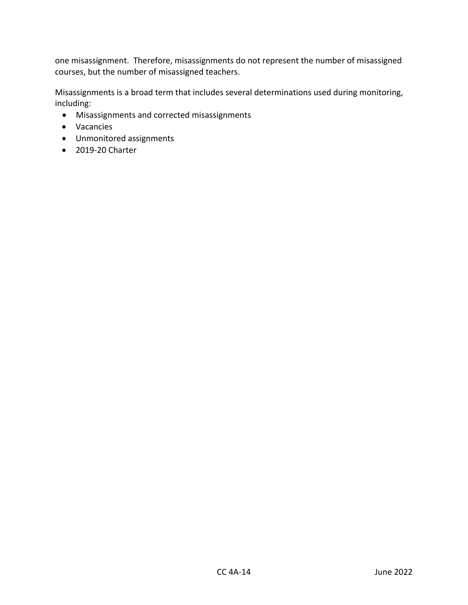one misassignment. Therefore, misassignments do not represent the number of misassigned courses, but the number of misassigned teachers.

Misassignments is a broad term that includes several determinations used during monitoring, including:

- Misassignments and corrected misassignments
- Vacancies
- Unmonitored assignments
- 2019-20 Charter